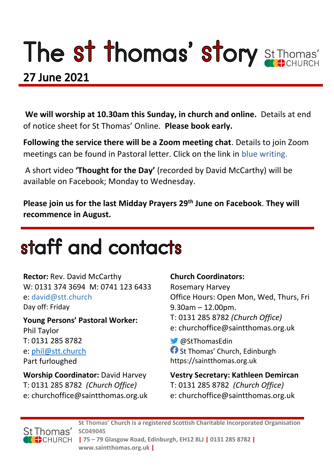# The st thomas' story St Thomas'

### 27 June 2021

**We will worship at 10.30am this Sunday, in church and online.** Details at end of notice sheet for St Thomas' Online. **Please book early.**

**Following the service there will be a Zoom meeting chat**. Details to join Zoom meetings can be found in Pastoral letter. Click on the link in blue writing.

A short video **'Thought for the Day'** (recorded by David McCarthy) will be available on Facebook; Monday to Wednesday.

**Please join us for the last Midday Prayers 29th June on Facebook**. **They will recommence in August.** 

## staff and contacts

**Rector:** Rev. David McCarthy W: 0131 374 3694 M: 0741 123 6433 e: david@stt.church Day off: Friday

**Young Persons' Pastoral Worker:** Phil Taylor T: 0131 285 8782 e: [phil@stt.church](mailto:phil@stt.church) Part furloughed

**Worship Coordinator:** David Harvey T: 0131 285 8782 *(Church Office)* e: churchoffice@saintthomas.org.uk

#### **Church Coordinators:**

Rosemary Harvey Office Hours: Open Mon, Wed, Thurs, Fri 9.30am – 12.00pm. T: 0131 285 8782 *(Church Office)* e: churchoffice@saintthomas.org.uk

@StThomasEdin **f** St Thomas' Church, Edinburgh https://saintthomas.org.uk

**Vestry Secretary: Kathleen Demircan**  T: 0131 285 8782 *(Church Office)* e: churchoffice@saintthomas.org.uk



**St Thomas' Church is a registered Scottish Charitable Incorporated Organisation SC049045 | 75 – 79 Glasgow Road, Edinburgh, EH12 8LJ | 0131 285 8782 | www.saintthomas.org.uk |**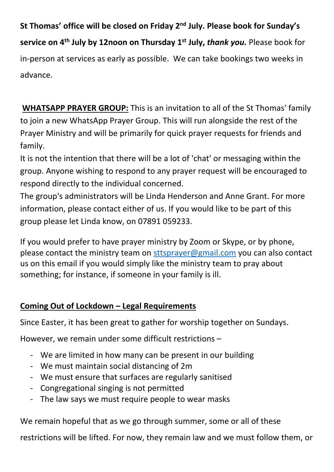**St Thomas' office will be closed on Friday 2nd July. Please book for Sunday's service on 4th July by 12noon on Thursday 1st July,** *thank you.* Please book for in-person at services as early as possible. We can take bookings two weeks in advance.

**WHATSAPP PRAYER GROUP:** This is an invitation to all of the St Thomas' family to join a new WhatsApp Prayer Group. This will run alongside the rest of the Prayer Ministry and will be primarily for quick prayer requests for friends and family.

It is not the intention that there will be a lot of 'chat' or messaging within the group. Anyone wishing to respond to any prayer request will be encouraged to respond directly to the individual concerned.

The group's administrators will be Linda Henderson and Anne Grant. For more information, please contact either of us. If you would like to be part of this group please let Linda know, on 07891 059233.

If you would prefer to have prayer ministry by Zoom or Skype, or by phone, please contact the ministry team on [sttsprayer@gmail.com](mailto:sttsprayer@gmail.com) you can also contact us on this email if you would simply like the ministry team to pray about something; for instance, if someone in your family is ill.

#### **Coming Out of Lockdown – Legal Requirements**

Since Easter, it has been great to gather for worship together on Sundays.

However, we remain under some difficult restrictions –

- We are limited in how many can be present in our building
- We must maintain social distancing of 2m
- We must ensure that surfaces are regularly sanitised
- Congregational singing is not permitted
- The law says we must require people to wear masks

We remain hopeful that as we go through summer, some or all of these

restrictions will be lifted. For now, they remain law and we must follow them, or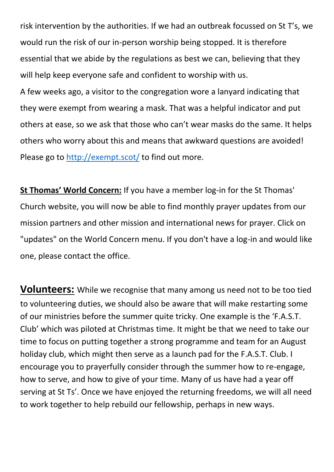risk intervention by the authorities. If we had an outbreak focussed on St T's, we would run the risk of our in-person worship being stopped. It is therefore essential that we abide by the regulations as best we can, believing that they will help keep everyone safe and confident to worship with us.

A few weeks ago, a visitor to the congregation wore a lanyard indicating that they were exempt from wearing a mask. That was a helpful indicator and put others at ease, so we ask that those who can't wear masks do the same. It helps others who worry about this and means that awkward questions are avoided! Please go to<http://exempt.scot/> to find out more.

**St Thomas' World Concern:** If you have a member log-in for the St Thomas' Church website, you will now be able to find monthly prayer updates from our mission partners and other mission and international news for prayer. Click on "updates" on the World Concern menu. If you don't have a log-in and would like one, please contact the office.

**Volunteers:** While we recognise that many among us need not to be too tied to volunteering duties, we should also be aware that will make restarting some of our ministries before the summer quite tricky. One example is the 'F.A.S.T. Club' which was piloted at Christmas time. It might be that we need to take our time to focus on putting together a strong programme and team for an August holiday club, which might then serve as a launch pad for the F.A.S.T. Club. I encourage you to prayerfully consider through the summer how to re-engage, how to serve, and how to give of your time. Many of us have had a year off serving at St Ts'. Once we have enjoyed the returning freedoms, we will all need to work together to help rebuild our fellowship, perhaps in new ways.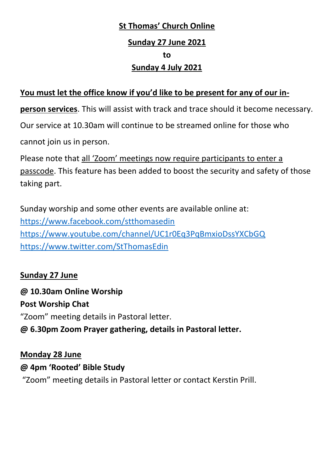### **St Thomas' Church Online Sunday 27 June 2021 to Sunday 4 July 2021**

#### **You must let the office know if you'd like to be present for any of our in-**

**person services**. This will assist with track and trace should it become necessary.

Our service at 10.30am will continue to be streamed online for those who

cannot join us in person.

Please note that all 'Zoom' meetings now require participants to enter a passcode. This feature has been added to boost the security and safety of those taking part.

Sunday worship and some other events are available online at: <https://www.facebook.com/stthomasedin> <https://www.youtube.com/channel/UC1r0Eq3PqBmxioDssYXCbGQ> <https://www.twitter.com/StThomasEdin>

#### **Sunday 27 June**

**@ 10.30am Online Worship Post Worship Chat** "Zoom" meeting details in Pastoral letter. **@ 6.30pm Zoom Prayer gathering, details in Pastoral letter.**

#### **Monday 28 June @ 4pm 'Rooted' Bible Study** "Zoom" meeting details in Pastoral letter or contact Kerstin Prill.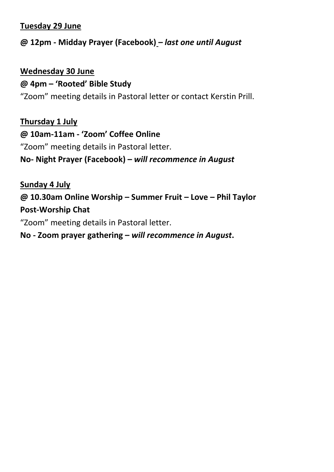#### **Tuesday 29 June**

#### **@ 12pm - Midday Prayer (Facebook)** *– last one until August*

#### **Wednesday 30 June**

#### **@ 4pm – 'Rooted' Bible Study**

"Zoom" meeting details in Pastoral letter or contact Kerstin Prill.

**Thursday 1 July**

#### **@ 10am-11am - 'Zoom' Coffee Online**

"Zoom" meeting details in Pastoral letter.

#### **No- Night Prayer (Facebook) –** *will recommence in August*

**Sunday 4 July**

**@ 10.30am Online Worship – Summer Fruit – Love – Phil Taylor Post-Worship Chat** 

"Zoom" meeting details in Pastoral letter.

#### **No - Zoom prayer gathering –** *will recommence in August***.**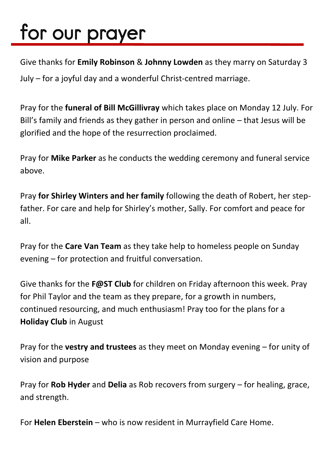# for our prayer

Give thanks for **Emily Robinson** & **Johnny Lowden** as they marry on Saturday 3 July – for a joyful day and a wonderful Christ-centred marriage.

Pray for the **funeral of Bill McGillivray** which takes place on Monday 12 July. For Bill's family and friends as they gather in person and online – that Jesus will be glorified and the hope of the resurrection proclaimed.

Pray for **Mike Parker** as he conducts the wedding ceremony and funeral service above.

Pray **for Shirley Winters and her family** following the death of Robert, her stepfather. For care and help for Shirley's mother, Sally. For comfort and peace for all.

Pray for the **Care Van Team** as they take help to homeless people on Sunday evening – for protection and fruitful conversation.

Give thanks for the **F@ST Club** for children on Friday afternoon this week. Pray for Phil Taylor and the team as they prepare, for a growth in numbers, continued resourcing, and much enthusiasm! Pray too for the plans for a **Holiday Club** in August

Pray for the **vestry and trustees** as they meet on Monday evening – for unity of vision and purpose

Pray for **Rob Hyder** and **Delia** as Rob recovers from surgery – for healing, grace, and strength.

For **Helen Eberstein** – who is now resident in Murrayfield Care Home.